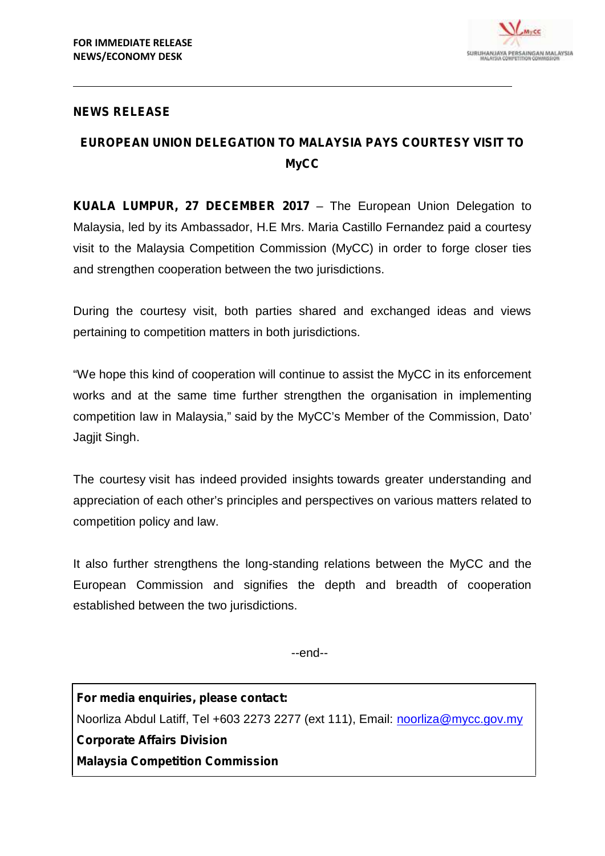

## **NEWS RELEASE**

## **EUROPEAN UNION DELEGATION TO MALAYSIA PAYS COURTESY VISIT TO MyCC**

**KUALA LUMPUR, 27 DECEMBER 2017** – The European Union Delegation to Malaysia, led by its Ambassador, H.E Mrs. Maria Castillo Fernandez paid a courtesy visit to the Malaysia Competition Commission (MyCC) in order to forge closer ties and strengthen cooperation between the two jurisdictions.

During the courtesy visit, both parties shared and exchanged ideas and views pertaining to competition matters in both jurisdictions.

"We hope this kind of cooperation will continue to assist the MyCC in its enforcement works and at the same time further strengthen the organisation in implementing competition law in Malaysia," said by the MyCC's Member of the Commission, Dato' Jagjit Singh.

The courtesy visit has indeed provided insights towards greater understanding and appreciation of each other's principles and perspectives on various matters related to competition policy and law.

It also further strengthens the long-standing relations between the MyCC and the European Commission and signifies the depth and breadth of cooperation established between the two jurisdictions.

--end--

**For media enquiries, please contact:** Noorliza Abdul Latiff, Tel +603 2273 2277 (ext 111), Email: noorliza@mycc.gov.my **Corporate Affairs Division Malaysia Competition Commission**